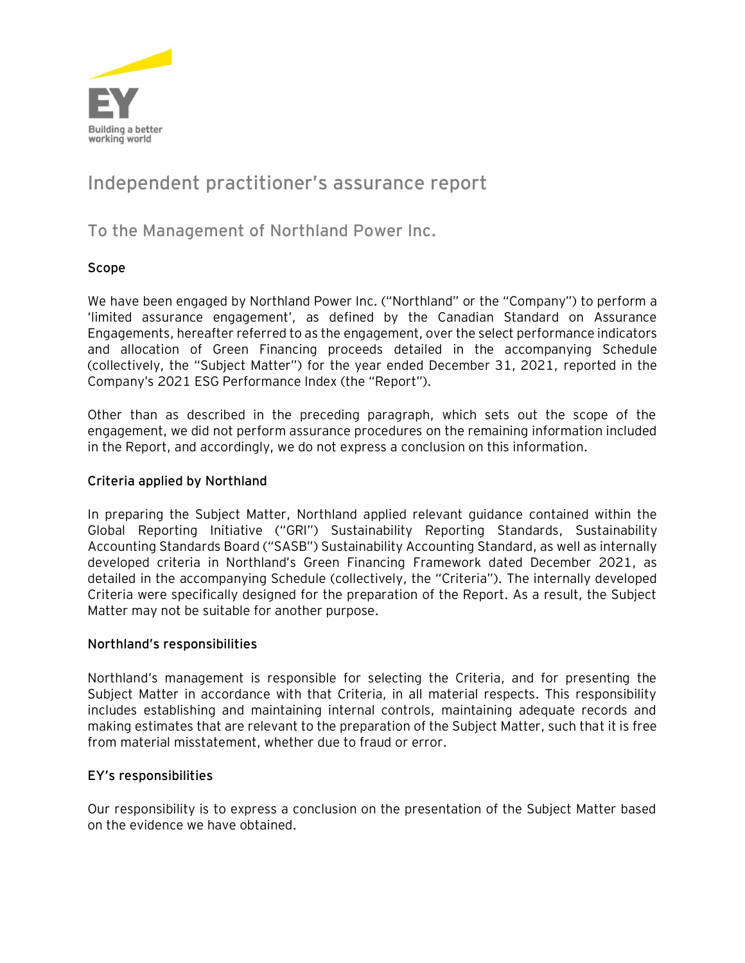

# **Independent practitioner's assurance report**

# **To the Management of Northland Power Inc.**

### **Scope**

We have been engaged by Northland Power Inc. ("Northland" or the "Company") to perform a 'limited assurance engagement', as defined by the Canadian Standard on Assurance Engagements, hereafter referred to as the engagement, over the select performance indicators and allocation of Green Financing proceeds detailed in the accompanying Schedule (collectively, the "Subject Matter") for the year ended December 31, 2021, reported in the Company's 2021 ESG Performance Index (the "Report").

Other than as described in the preceding paragraph, which sets out the scope of the engagement, we did not perform assurance procedures on the remaining information included in the Report, and accordingly, we do not express a conclusion on this information.

#### **Criteria applied by Northland**

In preparing the Subject Matter, Northland applied relevant guidance contained within the Global Reporting Initiative ("GRI") Sustainability Reporting Standards, Sustainability Accounting Standards Board ("SASB") Sustainability Accounting Standard, as well as internally developed criteria in Northland's Green Financing Framework dated December 2021, as detailed in the accompanying Schedule (collectively, the "Criteria"). The internally developed Criteria were specifically designed for the preparation of the Report. As a result, the Subject Matter may not be suitable for another purpose.

#### **Northland's responsibilities**

Northland's management is responsible for selecting the Criteria, and for presenting the Subject Matter in accordance with that Criteria, in all material respects. This responsibility includes establishing and maintaining internal controls, maintaining adequate records and making estimates that are relevant to the preparation of the Subject Matter, such that it is free from material misstatement, whether due to fraud or error.

#### **EY's responsibilities**

Our responsibility is to express a conclusion on the presentation of the Subject Matter based on the evidence we have obtained.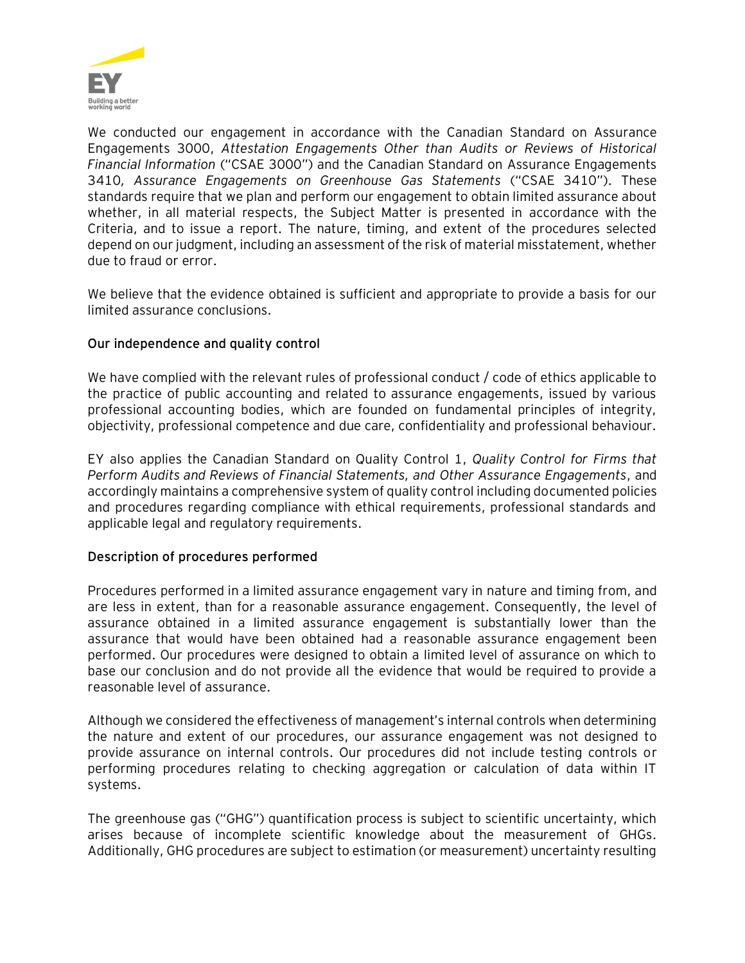

We conducted our engagement in accordance with the Canadian Standard on Assurance Engagements 3000, *Attestation Engagements Other than Audits or Reviews of Historical Financial Information* ("CSAE 3000") and the Canadian Standard on Assurance Engagements 3410*, Assurance Engagements on Greenhouse Gas Statements* ("CSAE 3410"). These standards require that we plan and perform our engagement to obtain limited assurance about whether, in all material respects, the Subject Matter is presented in accordance with the Criteria, and to issue a report. The nature, timing, and extent of the procedures selected depend on our judgment, including an assessment of the risk of material misstatement, whether due to fraud or error.

We believe that the evidence obtained is sufficient and appropriate to provide a basis for our limited assurance conclusions.

#### **Our independence and quality control**

We have complied with the relevant rules of professional conduct / code of ethics applicable to the practice of public accounting and related to assurance engagements, issued by various professional accounting bodies, which are founded on fundamental principles of integrity, objectivity, professional competence and due care, confidentiality and professional behaviour.

EY also applies the Canadian Standard on Quality Control 1, *Quality Control for Firms that Perform Audits and Reviews of Financial Statements, and Other Assurance Engagements*, and accordingly maintains a comprehensive system of quality control including documented policies and procedures regarding compliance with ethical requirements, professional standards and applicable legal and regulatory requirements.

#### **Description of procedures performed**

Procedures performed in a limited assurance engagement vary in nature and timing from, and are less in extent, than for a reasonable assurance engagement. Consequently, the level of assurance obtained in a limited assurance engagement is substantially lower than the assurance that would have been obtained had a reasonable assurance engagement been performed. Our procedures were designed to obtain a limited level of assurance on which to base our conclusion and do not provide all the evidence that would be required to provide a reasonable level of assurance.

Although we considered the effectiveness of management's internal controls when determining the nature and extent of our procedures, our assurance engagement was not designed to provide assurance on internal controls. Our procedures did not include testing controls or performing procedures relating to checking aggregation or calculation of data within IT systems.

The greenhouse gas ("GHG") quantification process is subject to scientific uncertainty, which arises because of incomplete scientific knowledge about the measurement of GHGs. Additionally, GHG procedures are subject to estimation (or measurement) uncertainty resulting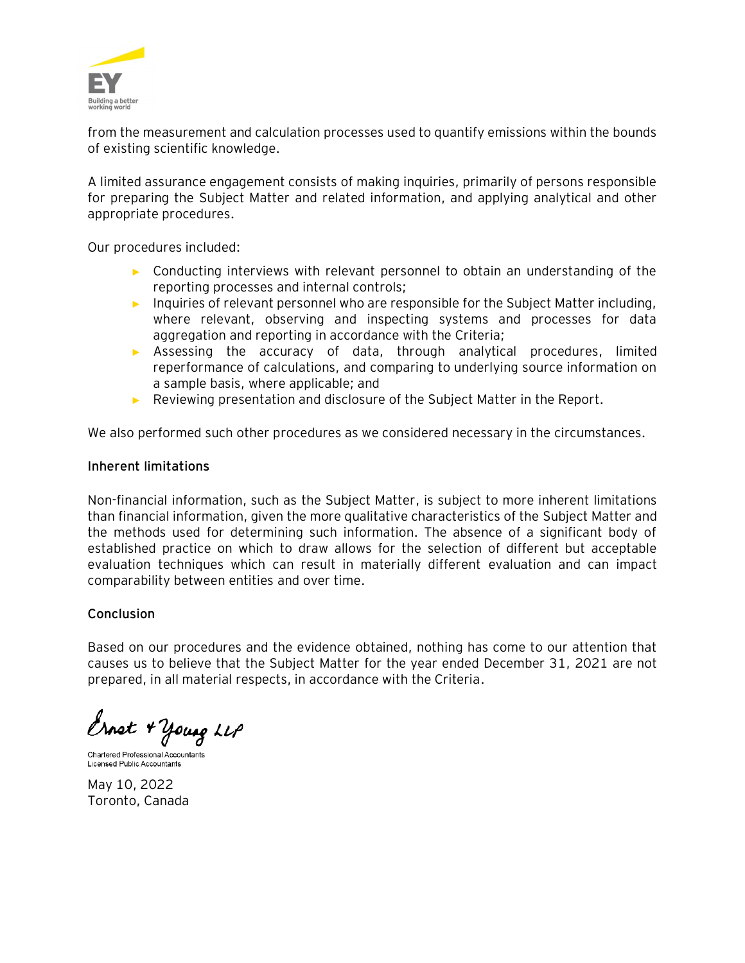

from the measurement and calculation processes used to quantify emissions within the bounds of existing scientific knowledge.

A limited assurance engagement consists of making inquiries, primarily of persons responsible for preparing the Subject Matter and related information, and applying analytical and other appropriate procedures.

Our procedures included:

- ► Conducting interviews with relevant personnel to obtain an understanding of the reporting processes and internal controls;
- ► Inquiries of relevant personnel who are responsible for the Subject Matter including, where relevant, observing and inspecting systems and processes for data aggregation and reporting in accordance with the Criteria;
- ► Assessing the accuracy of data, through analytical procedures, limited reperformance of calculations, and comparing to underlying source information on a sample basis, where applicable; and
- ► Reviewing presentation and disclosure of the Subject Matter in the Report.

We also performed such other procedures as we considered necessary in the circumstances.

#### **Inherent limitations**

Non-financial information, such as the Subject Matter, is subject to more inherent limitations than financial information, given the more qualitative characteristics of the Subject Matter and the methods used for determining such information. The absence of a significant body of established practice on which to draw allows for the selection of different but acceptable evaluation techniques which can result in materially different evaluation and can impact comparability between entities and over time.

#### **Conclusion**

Based on our procedures and the evidence obtained, nothing has come to our attention that causes us to believe that the Subject Matter for the year ended December 31, 2021 are not prepared, in all material respects, in accordance with the Criteria.

Ernst + young LLP

Chartered Professional Accountants Licensed Public Accountants

May 10, 2022 Toronto, Canada